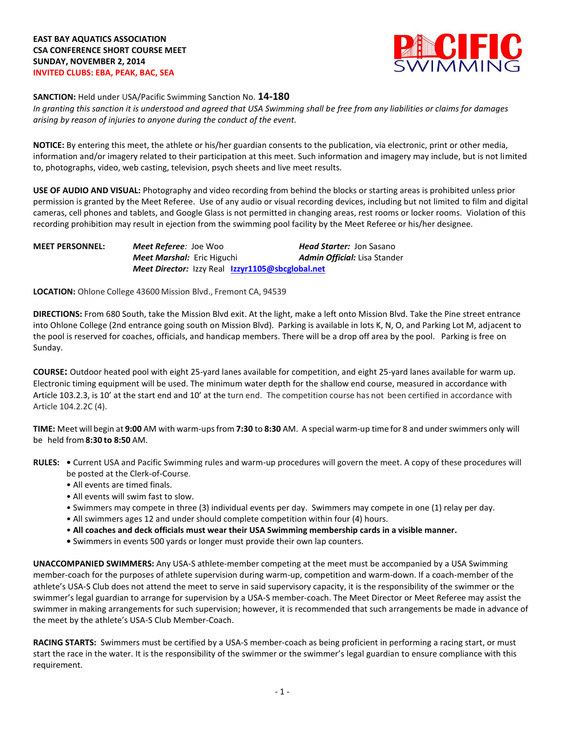

**SANCTION:** Held under USA/Pacific Swimming Sanction No. **14-180**

*In granting this sanction it is understood and agreed that USA Swimming shall be free from any liabilities or claims for damages arising by reason of injuries to anyone during the conduct of the event.*

**NOTICE:** By entering this meet, the athlete or his/her guardian consents to the publication, via electronic, print or other media, information and/or imagery related to their participation at this meet. Such information and imagery may include, but is not limited to, photographs, video, web casting, television, psych sheets and live meet results.

**USE OF AUDIO AND VISUAL:** Photography and video recording from behind the blocks or starting areas is prohibited unless prior permission is granted by the Meet Referee. Use of any audio or visual recording devices, including but not limited to film and digital cameras, cell phones and tablets, and Google Glass is not permitted in changing areas, rest rooms or locker rooms. Violation of this recording prohibition may result in ejection from the swimming pool facility by the Meet Referee or his/her designee.

| <b>MEET PERSONNEL:</b> | <b>Meet Referee</b> : Joe Woo                    | <b>Head Starter: Jon Sasano</b> |
|------------------------|--------------------------------------------------|---------------------------------|
|                        | <b>Meet Marshal:</b> Eric Higuchi                | Admin Official: Lisa Stander    |
|                        | Meet Director: Izzy Real Izzyr1105@sbcglobal.net |                                 |

**LOCATION:** Ohlone College 43600 Mission Blvd., Fremont CA, 94539

**DIRECTIONS:** From 680 South, take the Mission Blvd exit. At the light, make a left onto Mission Blvd. Take the Pine street entrance into Ohlone College (2nd entrance going south on Mission Blvd). Parking is available in lots K, N, O, and Parking Lot M, adjacent to the pool is reserved for coaches, officials, and handicap members. There will be a drop off area by the pool. Parking is free on Sunday.

**COURSE:** Outdoor heated pool with eight 25-yard lanes available for competition, and eight 25-yard lanes available for warm up. Electronic timing equipment will be used. The minimum water depth for the shallow end course, measured in accordance with Article 103.2.3, is 10' at the start end and 10' at the turn end. The competition course has not been certified in accordance with Article 104.2.2C (4).

**TIME:** Meet will begin at **9:00** AM with warm-upsfrom **7:30** to **8:30** AM. A special warm-up time for 8 and underswimmers only will be held from **8:30 to 8:50** AM.

- **RULES:** Current USA and Pacific Swimming rules and warm-up procedures will govern the meet. A copy of these procedures will be posted at the Clerk-of-Course.
	- All events are timed finals.
	- All events will swim fast to slow.
	- Swimmers may compete in three (3) individual events per day. Swimmers may compete in one (1) relay per day.
	- All swimmers ages 12 and under should complete competition within four (4) hours.
	- **All coaches and deck officials must wear their USA Swimming membership cards in a visible manner.**
	- Swimmers in events 500 yards or longer must provide their own lap counters.

**UNACCOMPANIED SWIMMERS:** Any USA-S athlete-member competing at the meet must be accompanied by a USA Swimming member-coach for the purposes of athlete supervision during warm-up, competition and warm-down. If a coach-member of the athlete's USA-S Club does not attend the meet to serve in said supervisory capacity, it is the responsibility of the swimmer or the swimmer's legal guardian to arrange for supervision by a USA-S member-coach. The Meet Director or Meet Referee may assist the swimmer in making arrangements for such supervision; however, it is recommended that such arrangements be made in advance of the meet by the athlete's USA-S Club Member-Coach.

**RACING STARTS:** Swimmers must be certified by a USA-S member-coach as being proficient in performing a racing start, or must start the race in the water. It is the responsibility of the swimmer or the swimmer's legal guardian to ensure compliance with this requirement.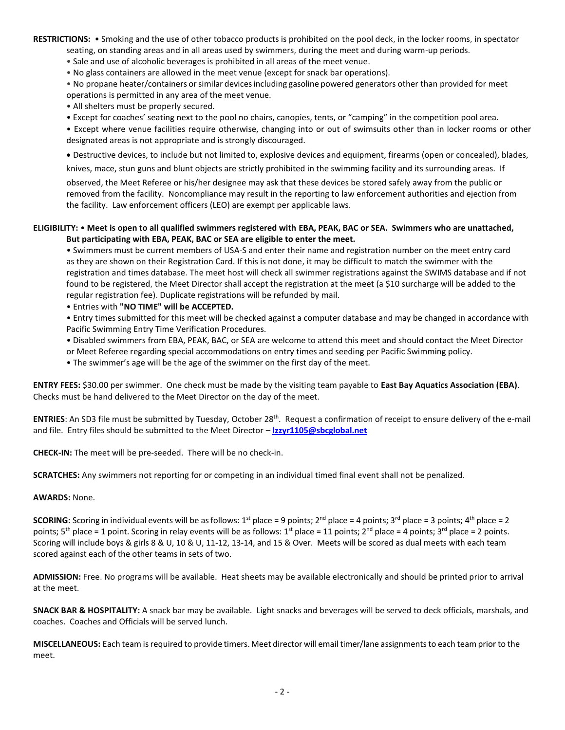**RESTRICTIONS:** • Smoking and the use of other tobacco products is prohibited on the pool deck, in the locker rooms, in spectator

seating, on standing areas and in all areas used by swimmers, during the meet and during warm-up periods.

• Sale and use of alcoholic beverages is prohibited in all areas of the meet venue.

• No glass containers are allowed in the meet venue (except for snack bar operations). • No propane heater/containers orsimilar devicesincluding gasoline powered generators other than provided for meet operations is permitted in any area of the meet venue.

• All shelters must be properly secured.

• Except for coaches' seating next to the pool no chairs, canopies, tents, or "camping" in the competition pool area.

• Except where venue facilities require otherwise, changing into or out of swimsuits other than in locker rooms or other designated areas is not appropriate and is strongly discouraged.

Destructive devices, to include but not limited to, explosive devices and equipment, firearms (open or concealed), blades,

knives, mace, stun guns and blunt objects are strictly prohibited in the swimming facility and its surrounding areas. If

observed, the Meet Referee or his/her designee may ask that these devices be stored safely away from the public or removed from the facility. Noncompliance may result in the reporting to law enforcement authorities and ejection from the facility. Law enforcement officers (LEO) are exempt per applicable laws.

## **ELIGIBILITY:** • **Meet is open to all qualified swimmers registered with EBA, PEAK, BAC or SEA. Swimmers who are unattached, But participating with EBA, PEAK, BAC or SEA are eligible to enter the meet.**

• Swimmers must be current members of USA-S and enter their name and registration number on the meet entry card as they are shown on their Registration Card. If this is not done, it may be difficult to match the swimmer with the registration and times database. The meet host will check all swimmer registrations against the SWIMS database and if not found to be registered, the Meet Director shall accept the registration at the meet (a \$10 surcharge will be added to the regular registration fee). Duplicate registrations will be refunded by mail.

• Entries with **"NO TIME" will be ACCEPTED.**

• Entry times submitted for this meet will be checked against a computer database and may be changed in accordance with Pacific Swimming Entry Time Verification Procedures.

• Disabled swimmers from EBA, PEAK, BAC, or SEA are welcome to attend this meet and should contact the Meet Director or Meet Referee regarding special accommodations on entry times and seeding per Pacific Swimming policy.

• The swimmer's age will be the age of the swimmer on the first day of the meet.

**ENTRY FEES:** \$30.00 per swimmer. One check must be made by the visiting team payable to **East Bay Aquatics Association (EBA)**. Checks must be hand delivered to the Meet Director on the day of the meet.

**ENTRIES**: An SD3 file must be submitted by Tuesday, October 28th. Request a confirmation of receipt to ensure delivery of the e-mail and file. Entry files should be submitted to the Meet Director – **[Izzyr1105@sbcglobal.net](mailto:Izzyr1105@sbcglobal.net)**

**CHECK-IN:** The meet will be pre-seeded. There will be no check-in.

**SCRATCHES:** Any swimmers not reporting for or competing in an individual timed final event shall not be penalized.

## **AWARDS:** None.

**SCORING:** Scoring in individual events will be as follows: 1<sup>st</sup> place = 9 points; 2<sup>nd</sup> place = 4 points; 3<sup>rd</sup> place = 3 points; 4<sup>th</sup> place = 2 points;  $5^{th}$  place = 1 point. Scoring in relay events will be as follows:  $1^{st}$  place = 11 points;  $2^{nd}$  place = 4 points;  $3^{rd}$  place = 2 points. Scoring will include boys & girls 8 & U, 10 & U, 11-12, 13-14, and 15 & Over. Meets will be scored as dual meets with each team scored against each of the other teams in sets of two.

**ADMISSION:** Free. No programs will be available. Heat sheets may be available electronically and should be printed prior to arrival at the meet.

**SNACK BAR & HOSPITALITY:** A snack bar may be available. Light snacks and beverages will be served to deck officials, marshals, and coaches. Coaches and Officials will be served lunch.

**MISCELLANEOUS:** Each team isrequired to provide timers. Meet director will email timer/lane assignmentsto each team prior to the meet.